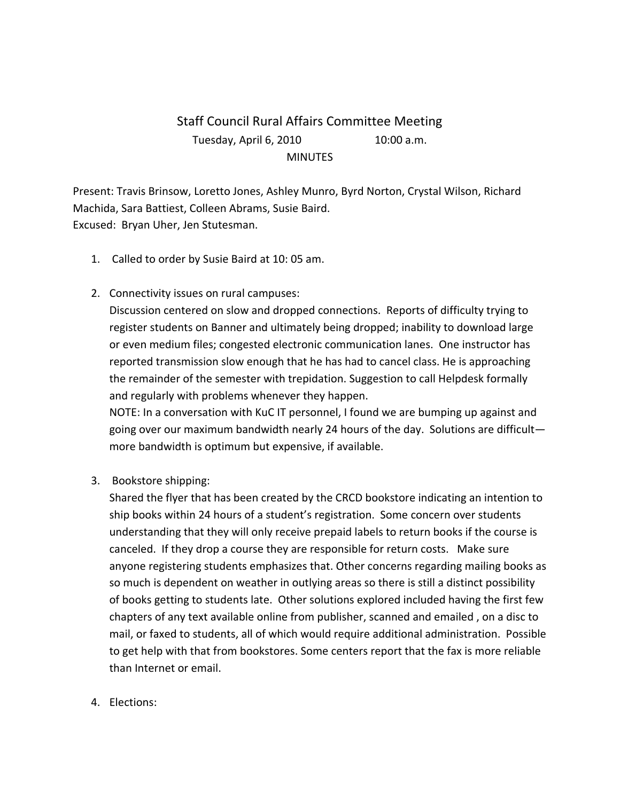## Staff Council Rural Affairs Committee Meeting Tuesday, April 6, 2010 10:00 a.m. **MINUTES**

Present: Travis Brinsow, Loretto Jones, Ashley Munro, Byrd Norton, Crystal Wilson, Richard Machida, Sara Battiest, Colleen Abrams, Susie Baird. Excused: Bryan Uher, Jen Stutesman.

- 1. Called to order by Susie Baird at 10: 05 am.
- 2. Connectivity issues on rural campuses:

Discussion centered on slow and dropped connections. Reports of difficulty trying to register students on Banner and ultimately being dropped; inability to download large or even medium files; congested electronic communication lanes. One instructor has reported transmission slow enough that he has had to cancel class. He is approaching the remainder of the semester with trepidation. Suggestion to call Helpdesk formally and regularly with problems whenever they happen.

NOTE: In a conversation with KuC IT personnel, I found we are bumping up against and going over our maximum bandwidth nearly 24 hours of the day. Solutions are difficult more bandwidth is optimum but expensive, if available.

3. Bookstore shipping:

Shared the flyer that has been created by the CRCD bookstore indicating an intention to ship books within 24 hours of a student's registration. Some concern over students understanding that they will only receive prepaid labels to return books if the course is canceled. If they drop a course they are responsible for return costs. Make sure anyone registering students emphasizes that. Other concerns regarding mailing books as so much is dependent on weather in outlying areas so there is still a distinct possibility of books getting to students late. Other solutions explored included having the first few chapters of any text available online from publisher, scanned and emailed , on a disc to mail, or faxed to students, all of which would require additional administration. Possible to get help with that from bookstores. Some centers report that the fax is more reliable than Internet or email.

4. Elections: